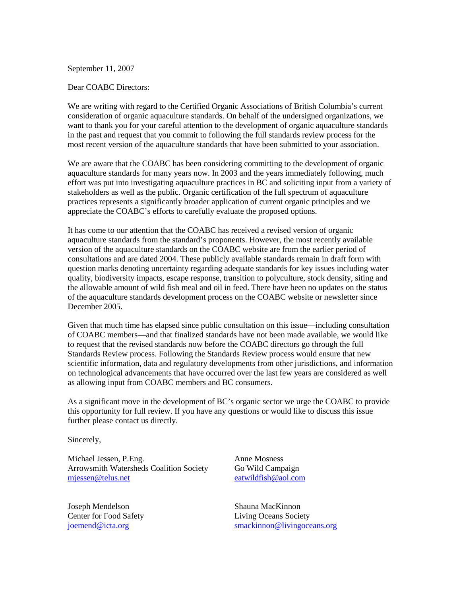September 11, 2007

Dear COABC Directors:

We are writing with regard to the Certified Organic Associations of British Columbia's current consideration of organic aquaculture standards. On behalf of the undersigned organizations, we want to thank you for your careful attention to the development of organic aquaculture standards in the past and request that you commit to following the full standards review process for the most recent version of the aquaculture standards that have been submitted to your association.

We are aware that the COABC has been considering committing to the development of organic aquaculture standards for many years now. In 2003 and the years immediately following, much effort was put into investigating aquaculture practices in BC and soliciting input from a variety of stakeholders as well as the public. Organic certification of the full spectrum of aquaculture practices represents a significantly broader application of current organic principles and we appreciate the COABC's efforts to carefully evaluate the proposed options.

It has come to our attention that the COABC has received a revised version of organic aquaculture standards from the standard's proponents. However, the most recently available version of the aquaculture standards on the COABC website are from the earlier period of consultations and are dated 2004. These publicly available standards remain in draft form with question marks denoting uncertainty regarding adequate standards for key issues including water quality, biodiversity impacts, escape response, transition to polyculture, stock density, siting and the allowable amount of wild fish meal and oil in feed. There have been no updates on the status of the aquaculture standards development process on the COABC website or newsletter since December 2005.

Given that much time has elapsed since public consultation on this issue—including consultation of COABC members—and that finalized standards have not been made available, we would like to request that the revised standards now before the COABC directors go through the full Standards Review process. Following the Standards Review process would ensure that new scientific information, data and regulatory developments from other jurisdictions, and information on technological advancements that have occurred over the last few years are considered as well as allowing input from COABC members and BC consumers.

As a significant move in the development of BC's organic sector we urge the COABC to provide this opportunity for full review. If you have any questions or would like to discuss this issue further please contact us directly.

Sincerely,

Michael Jessen, P.Eng. Arrowsmith Watersheds Coalition Society mjessen@telus.net

Joseph Mendelson Center for Food Safety joemend@icta.org

Anne Mosness Go Wild Campaign eatwildfish@aol.com

Shauna MacKinnon Living Oceans Society smackinnon@livingoceans.org